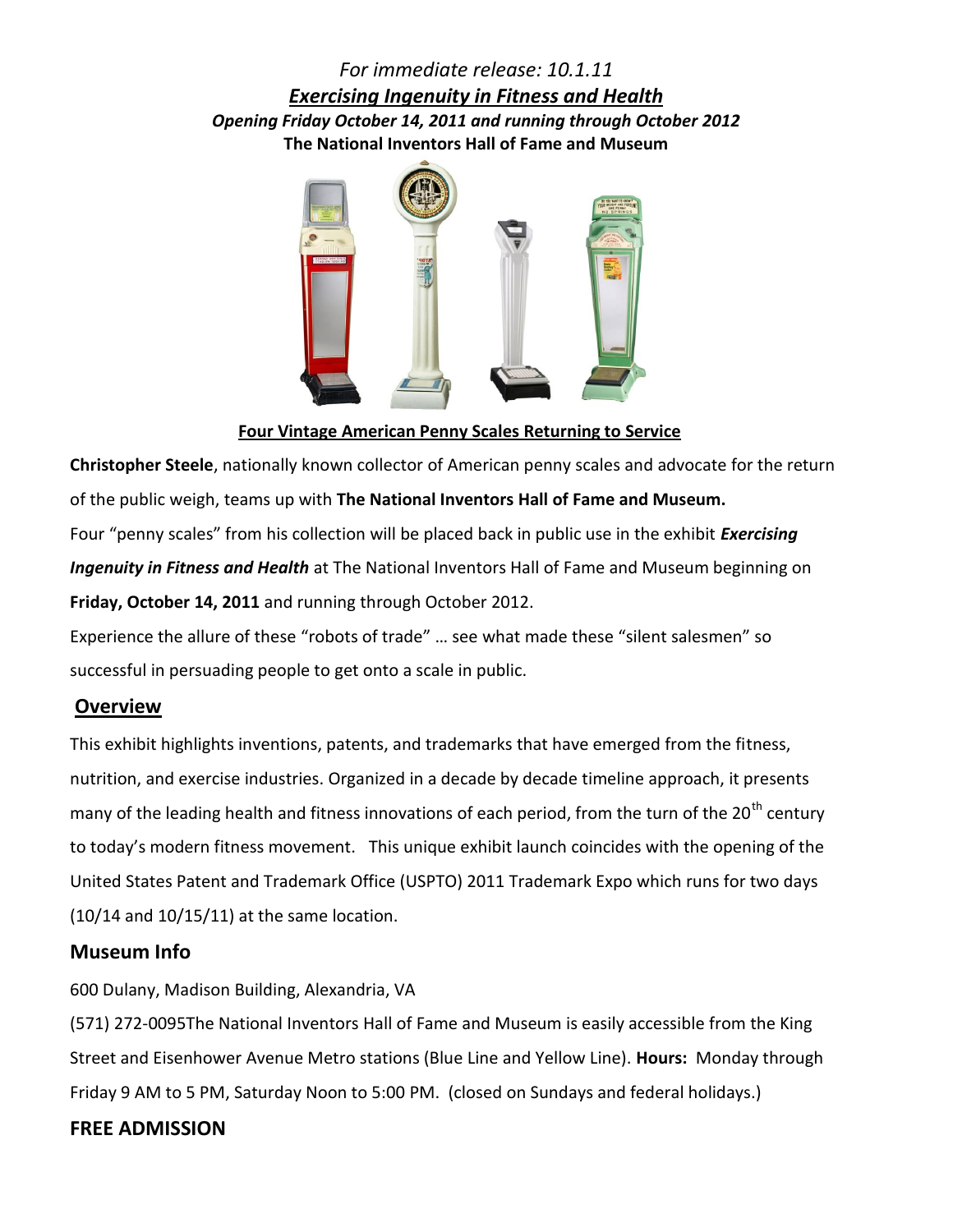# *For immediate release: 10.1.11 Exercising Ingenuity in Fitness and Health Opening Friday October 14, 2011 and running through October 2012* **The National Inventors Hall of Fame and Museum**



 **Four Vintage American Penny Scales Returning to Service**

**Christopher Steele**, nationally known collector of American penny scales and advocate for the return of the public weigh, teams up with **The National Inventors Hall of Fame and Museum.**  Four "penny scales" from his collection will be placed back in public use in the exhibit *Exercising Ingenuity in Fitness and Health* at The National Inventors Hall of Fame and Museum beginning on **Friday, October 14, 2011** and running through October 2012.

Experience the allure of these "robots of trade" … see what made these "silent salesmen" so successful in persuading people to get onto a scale in public.

## **Overview**

This exhibit highlights inventions, patents, and trademarks that have emerged from the fitness, nutrition, and exercise industries. Organized in a decade by decade timeline approach, it presents many of the leading health and fitness innovations of each period, from the turn of the 20<sup>th</sup> century to today's modern fitness movement. This unique exhibit launch coincides with the opening of the United States Patent and Trademark Office (USPTO) 2011 Trademark Expo which runs for two days (10/14 and 10/15/11) at the same location.

## **Museum Info**

600 Dulany, Madison Building, Alexandria, VA

(571) 272-0095The National Inventors Hall of Fame and Museum is easily accessible from the King Street and Eisenhower Avenue Metro stations (Blue Line and Yellow Line). **Hours:** Monday through Friday 9 AM to 5 PM, Saturday Noon to 5:00 PM. (closed on Sundays and federal holidays.)

# **FREE ADMISSION**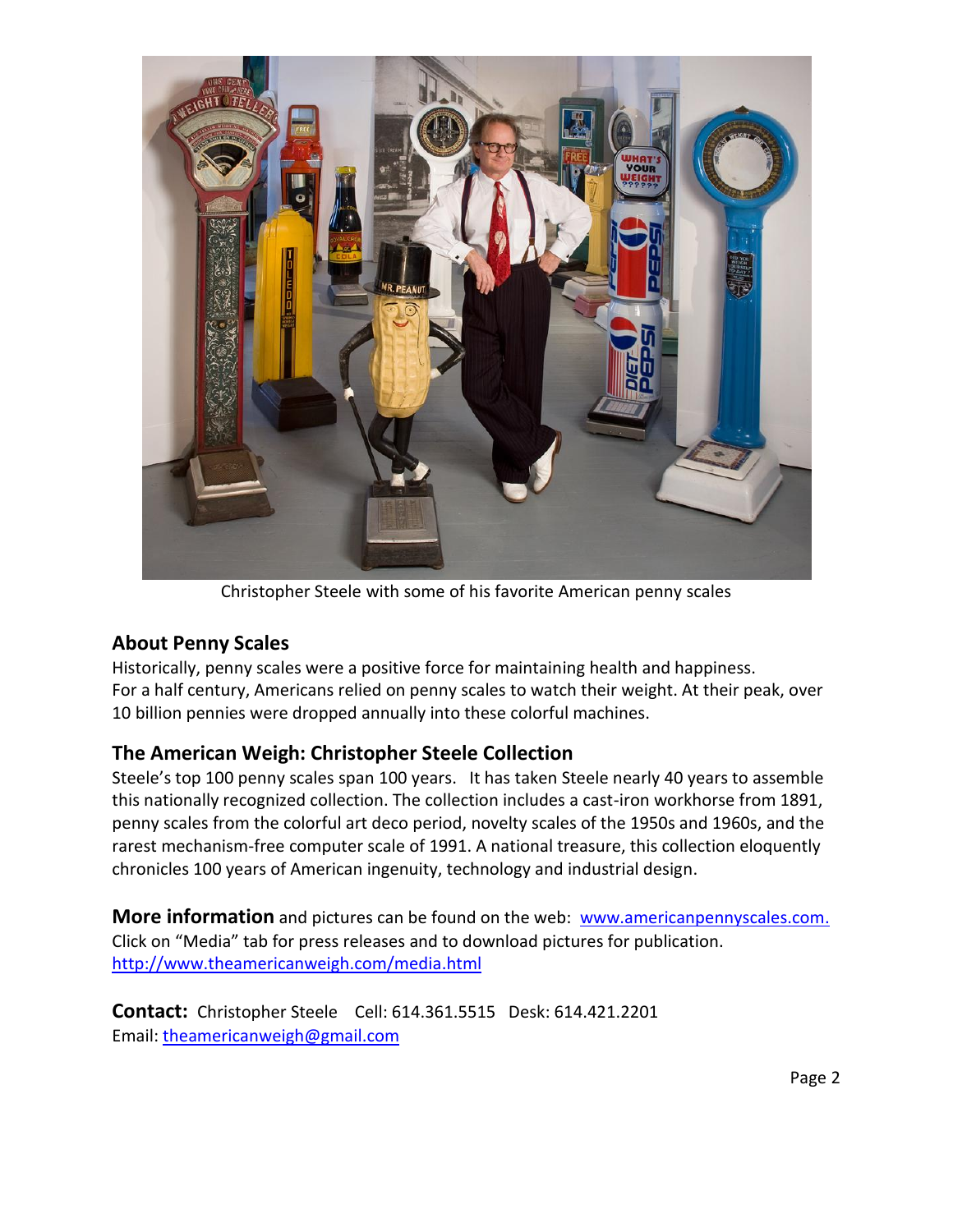

Christopher Steele with some of his favorite American penny scales

## **About Penny Scales**

Historically, penny scales were a positive force for maintaining health and happiness. For a half century, Americans relied on penny scales to watch their weight. At their peak, over 10 billion pennies were dropped annually into these colorful machines.

## **The American Weigh: Christopher Steele Collection**

Steele's top 100 penny scales span 100 years. It has taken Steele nearly 40 years to assemble this nationally recognized collection. The collection includes a cast-iron workhorse from 1891, penny scales from the colorful art deco period, novelty scales of the 1950s and 1960s, and the rarest mechanism-free computer scale of 1991. A national treasure, this collection eloquently chronicles 100 years of American ingenuity, technology and industrial design.

**More information** and pictures can be found on the web: [www.americanpennyscales.com.](http://www.americanpennyscales.com/) Click on "Media" tab for press releases and to download pictures for publication. <http://www.theamericanweigh.com/media.html>

**Contact:** Christopher Steele Cell: 614.361.5515 Desk: 614.421.2201 Email: [theamericanweigh@gmail.com](mailto:theamericanweigh@gmail.com)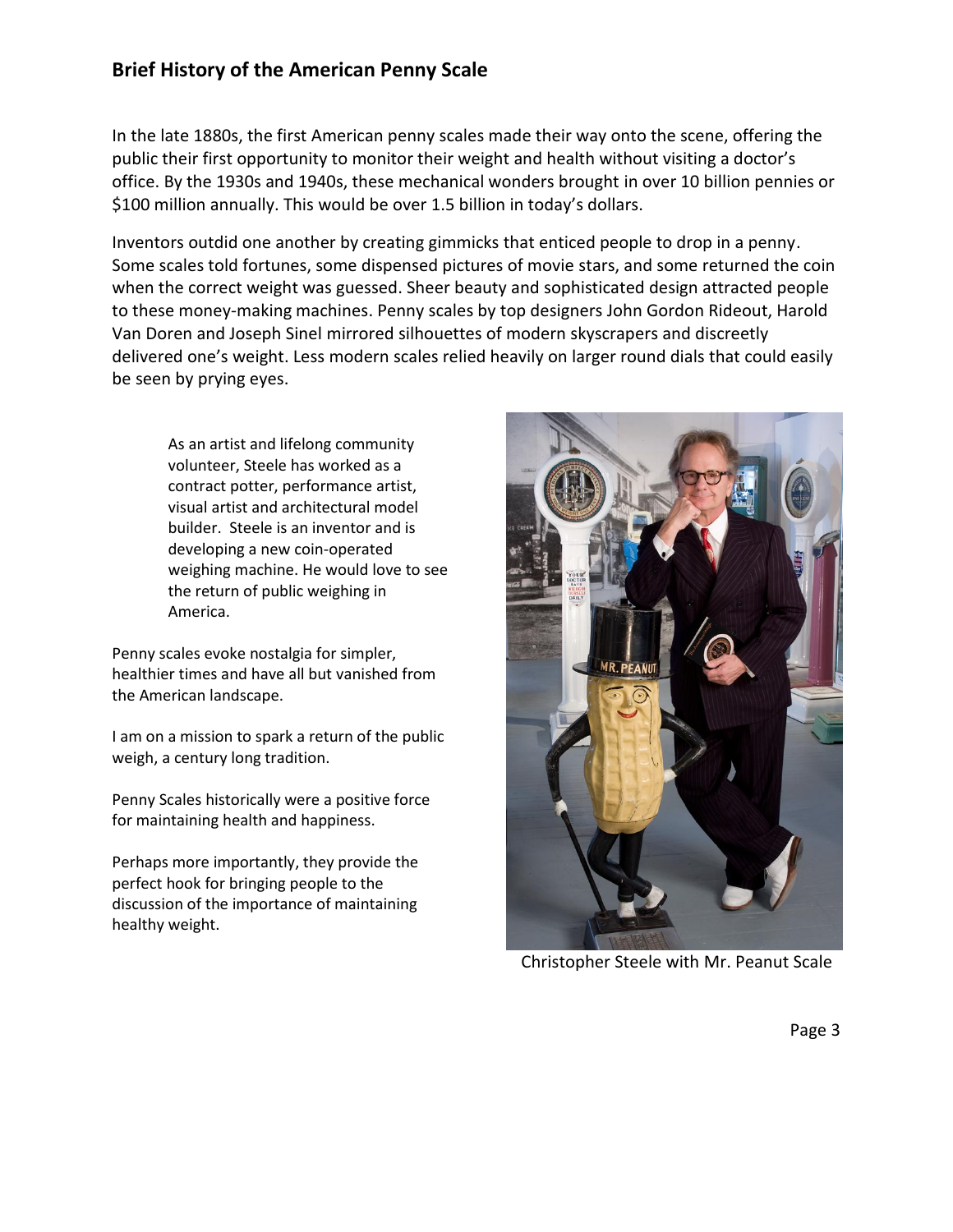# **Brief History of the American Penny Scale**

In the late 1880s, the first American penny scales made their way onto the scene, offering the public their first opportunity to monitor their weight and health without visiting a doctor's office. By the 1930s and 1940s, these mechanical wonders brought in over 10 billion pennies or \$100 million annually. This would be over 1.5 billion in today's dollars.

Inventors outdid one another by creating gimmicks that enticed people to drop in a penny. Some scales told fortunes, some dispensed pictures of movie stars, and some returned the coin when the correct weight was guessed. Sheer beauty and sophisticated design attracted people to these money-making machines. Penny scales by top designers John Gordon Rideout, Harold Van Doren and Joseph Sinel mirrored silhouettes of modern skyscrapers and discreetly delivered one's weight. Less modern scales relied heavily on larger round dials that could easily be seen by prying eyes.

As an artist and lifelong community volunteer, Steele has worked as a contract potter, performance artist, visual artist and architectural model builder. Steele is an inventor and is developing a new coin-operated weighing machine. He would love to see the return of public weighing in America.

Penny scales evoke nostalgia for simpler, healthier times and have all but vanished from the American landscape.

I am on a mission to spark a return of the public weigh, a century long tradition.

Penny Scales historically were a positive force for maintaining health and happiness.

Perhaps more importantly, they provide the perfect hook for bringing people to the discussion of the importance of maintaining healthy weight.



Christopher Steele with Mr. Peanut Scale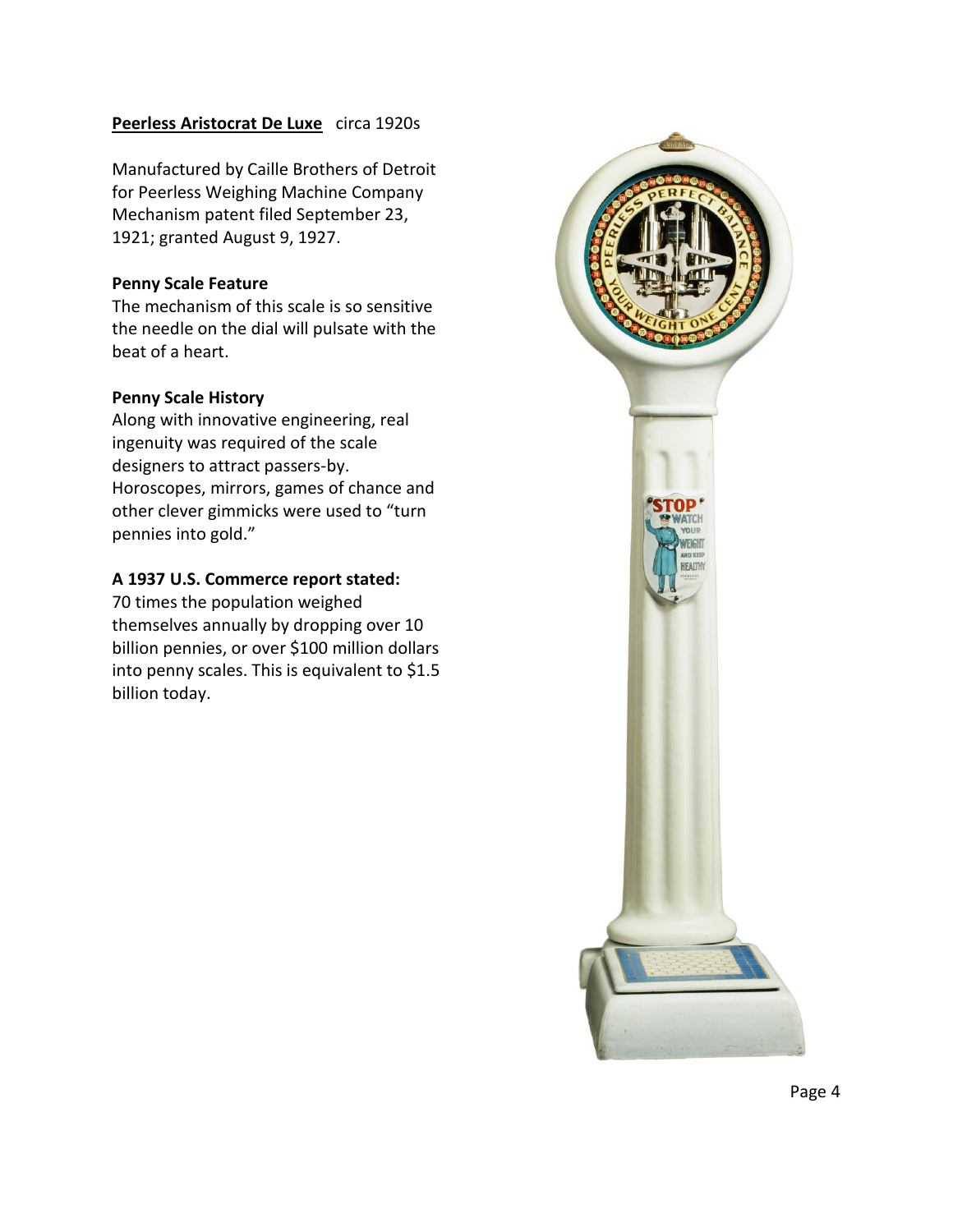## **Peerless Aristocrat De Luxe** circa 1920s

Manufactured by Caille Brothers of Detroit for Peerless Weighing Machine Company Mechanism patent filed September 23, 1921; granted August 9, 1927.

### **Penny Scale Feature**

The mechanism of this scale is so sensitive the needle on the dial will pulsate with the beat of a heart.

## **Penny Scale History**

Along with innovative engineering, real ingenuity was required of the scale designers to attract passers-by. Horoscopes, mirrors, games of chance and other clever gimmicks were used to "turn pennies into gold."

## **A 1937 U.S. Commerce report stated:**

70 times the population weighed themselves annually by dropping over 10 billion pennies, or over \$100 million dollars into penny scales. This is equivalent to \$1.5 billion today.

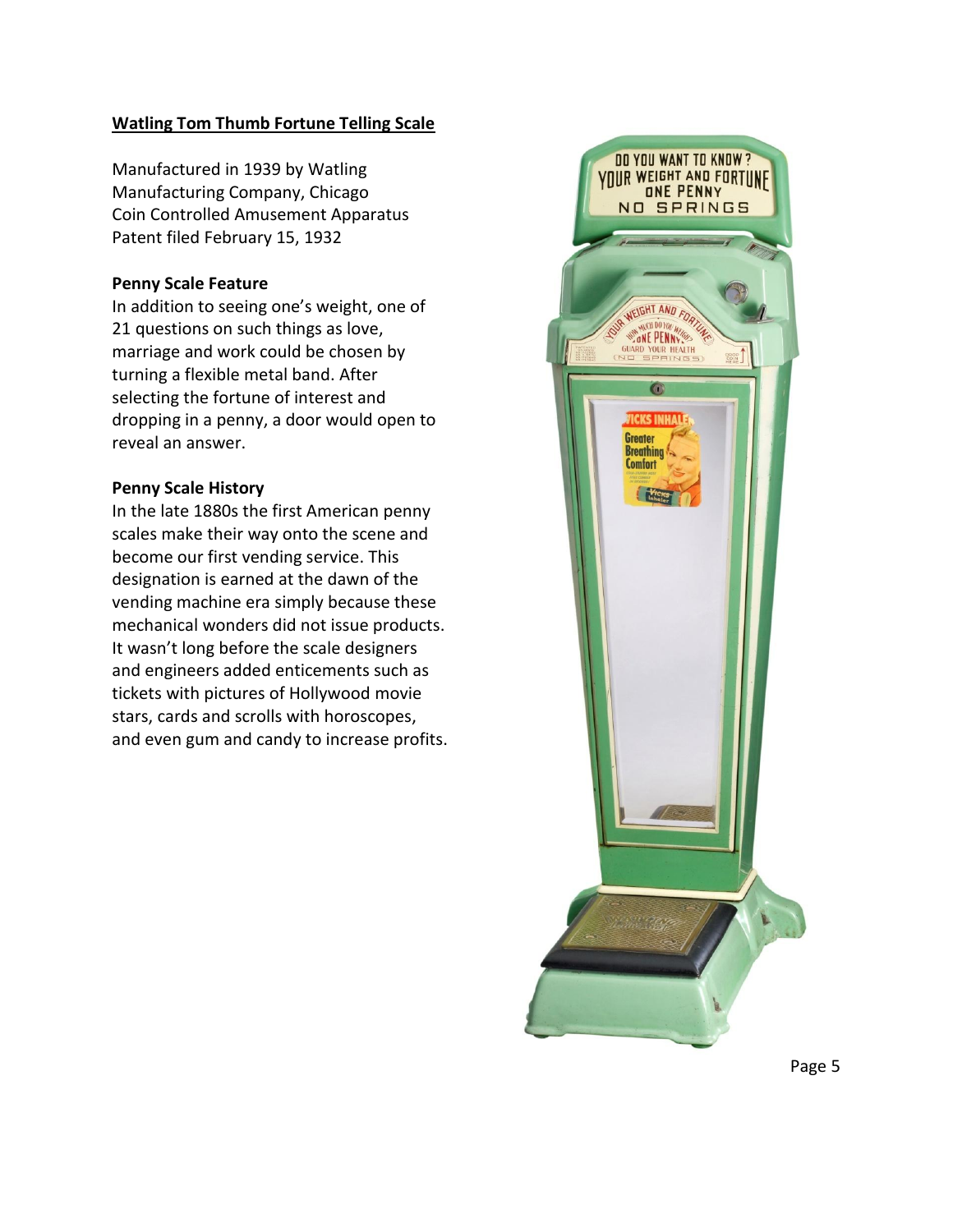## **Watling Tom Thumb Fortune Telling Scale**

Manufactured in 1939 by Watling Manufacturing Company, Chicago Coin Controlled Amusement Apparatus Patent filed February 15, 1932

#### **Penny Scale Feature**

In addition to seeing one's weight, one of 21 questions on such things as love, marriage and work could be chosen by turning a flexible metal band. After selecting the fortune of interest and dropping in a penny, a door would open to reveal an answer.

#### **Penny Scale History**

In the late 1880s the first American penny scales make their way onto the scene and become our first vending service. This designation is earned at the dawn of the vending machine era simply because these mechanical wonders did not issue products. It wasn't long before the scale designers and engineers added enticements such as tickets with pictures of Hollywood movie stars, cards and scrolls with horoscopes, and even gum and candy to increase profits.



Page 5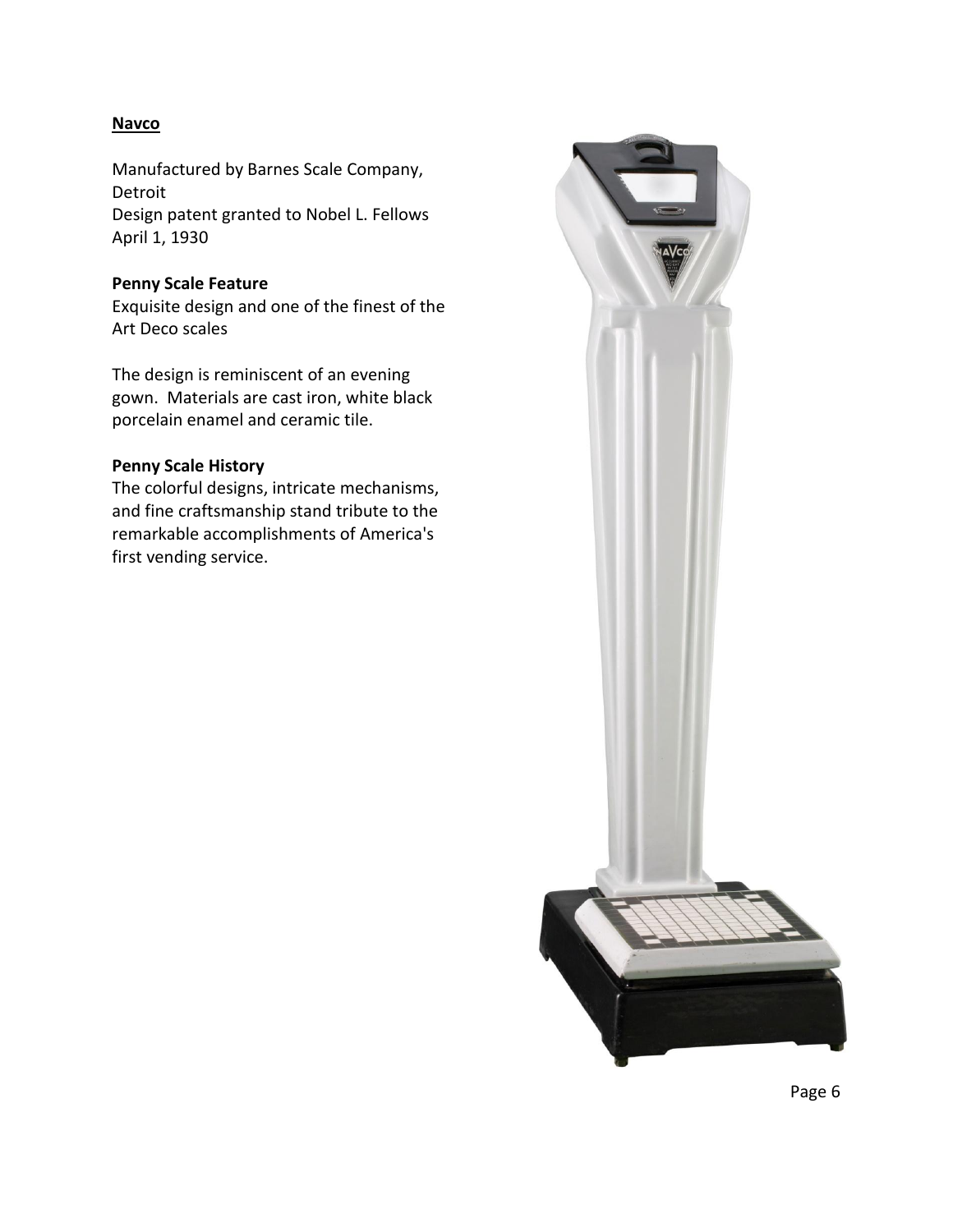## **Navco**

Manufactured by Barnes Scale Company, Detroit Design patent granted to Nobel L. Fellows April 1, 1930

#### **Penny Scale Feature**

Exquisite design and one of the finest of the Art Deco scales

The design is reminiscent of an evening gown. Materials are cast iron, white black porcelain enamel and ceramic tile.

### **Penny Scale History**

The colorful designs, intricate mechanisms, and fine craftsmanship stand tribute to the remarkable accomplishments of America's first vending service.